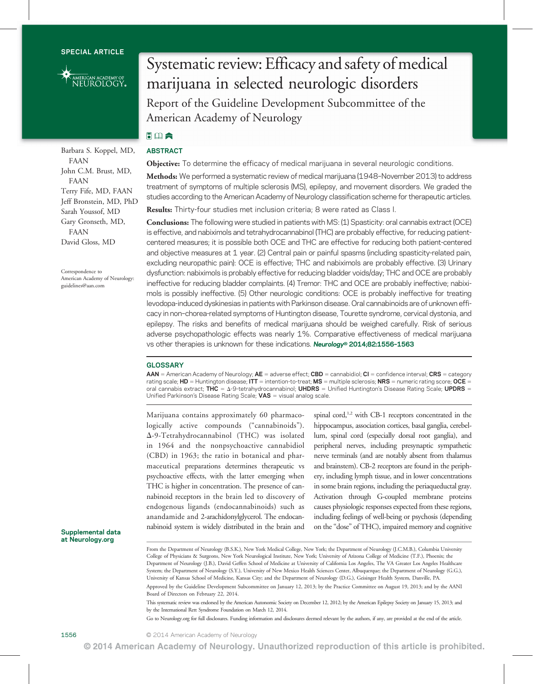

Barbara S. Koppel, MD, FAAN John C.M. Brust, MD, FAAN Terry Fife, MD, FAAN Jeff Bronstein, MD, PhD Sarah Youssof, MD Gary Gronseth, MD, FAAN David Gloss, MD

Correspondence to American Academy of Neurology: [guidelines@aan.com](mailto:guidelines@aan.com)

# Supplemental data at [Neurology.org](http://neurology.org/)

# Systematic review: Efficacy and safety of medical marijuana in selected neurologic disorders Report of the Guideline Development Subcommittee of the American Academy of Neurology

# 同国会 ABSTRACT

**Objective:** To determine the efficacy of medical marijuana in several neurologic conditions.

Methods: We performed a systematic review of medical marijuana (1948–November 2013) to address treatment of symptoms of multiple sclerosis (MS), epilepsy, and movement disorders. We graded the studies according to the American Academy of Neurology classification scheme for therapeutic articles.

Results: Thirty-four studies met inclusion criteria; 8 were rated as Class I.

Conclusions: The following were studied in patients with MS: (1) Spasticity: oral cannabis extract (OCE) is effective, and nabiximols and tetrahydrocannabinol (THC) are probably effective, for reducing patientcentered measures; it is possible both OCE and THC are effective for reducing both patient-centered and objective measures at 1 year. (2) Central pain or painful spasms (including spasticity-related pain, excluding neuropathic pain): OCE is effective; THC and nabiximols are probably effective. (3) Urinary dysfunction: nabiximols is probably effective for reducing bladder voids/day; THC and OCE are probably ineffective for reducing bladder complaints. (4) Tremor: THC and OCE are probably ineffective; nabiximols is possibly ineffective. (5) Other neurologic conditions: OCE is probably ineffective for treating levodopa-induced dyskinesias in patients with Parkinson disease. Oral cannabinoids are of unknown efficacy in non–chorea-related symptoms of Huntington disease, Tourette syndrome, cervical dystonia, and epilepsy. The risks and benefits of medical marijuana should be weighed carefully. Risk of serious adverse psychopathologic effects was nearly 1%. Comparative effectiveness of medical marijuana vs other therapies is unknown for these indications. Neurology® 2014;82:1556-1563

# **GLOSSARY**

 $AAN =$  American Academy of Neurology;  $AE =$  adverse effect;  $CBD =$  cannabidiol;  $CI =$  confidence interval;  $CRS =$  category rating scale;  $HD =$  Huntington disease; ITT = intention-to-treat; MS = multiple sclerosis; NRS = numeric rating score; OCE = oral cannabis extract; THC =  $\Delta$ -9-tetrahydrocannabinol; UHDRS = Unified Huntington's Disease Rating Scale; UPDRS = Unified Parkinson's Disease Rating Scale;  $VAS =$  visual analog scale.

Marijuana contains approximately 60 pharmacologically active compounds ("cannabinoids").  $\Delta$ -9-Tetrahydrocannabinol (THC) was isolated in 1964 and the nonpsychoactive cannabidiol (CBD) in 1963; the ratio in botanical and pharmaceutical preparations determines therapeutic vs psychoactive effects, with the latter emerging when THC is higher in concentration. The presence of cannabinoid receptors in the brain led to discovery of endogenous ligands (endocannabinoids) such as anandamide and 2-arachidonylglycerol. The endocannabinoid system is widely distributed in the brain and

spinal cord,<sup>1,2</sup> with CB-1 receptors concentrated in the hippocampus, association cortices, basal ganglia, cerebellum, spinal cord (especially dorsal root ganglia), and peripheral nerves, including presynaptic sympathetic nerve terminals (and are notably absent from thalamus and brainstem). CB-2 receptors are found in the periphery, including lymph tissue, and in lower concentrations in some brain regions, including the periaqueductal gray. Activation through G-coupled membrane proteins causes physiologic responses expected from these regions, including feelings of well-being or psychosis (depending on the"dose" of THC), impaired memory and cognitive

From the Department of Neurology (B.S.K.), New York Medical College, New York; the Department of Neurology (J.C.M.B.), Columbia University College of Physicians & Surgeons, New York Neurological Institute, New York; University of Arizona College of Medicine (T.F.), Phoenix; the Department of Neurology (J.B.), David Geffen School of Medicine at University of California Los Angeles, The VA Greater Los Angeles Healthcare System; the Department of Neurology (S.Y.), University of New Mexico Health Sciences Center, Albuquerque; the Department of Neurology (G.G.), University of Kansas School of Medicine, Kansas City; and the Department of Neurology (D.G.), Geisinger Health System, Danville, PA. Approved by the Guideline Development Subcommittee on January 12, 2013; by the Practice Committee on August 19, 2013; and by the AANI

Board of Directors on February 22, 2014.

This systematic review was endorsed by the American Autonomic Society on December 12, 2012; by the American Epilepsy Society on January 15, 2013; and by the International Rett Syndrome Foundation on March 12, 2014.

Go to [Neurology.org](http://neurology.org/) for full disclosures. Funding information and disclosures deemed relevant by the authors, if any, are provided at the end of the article.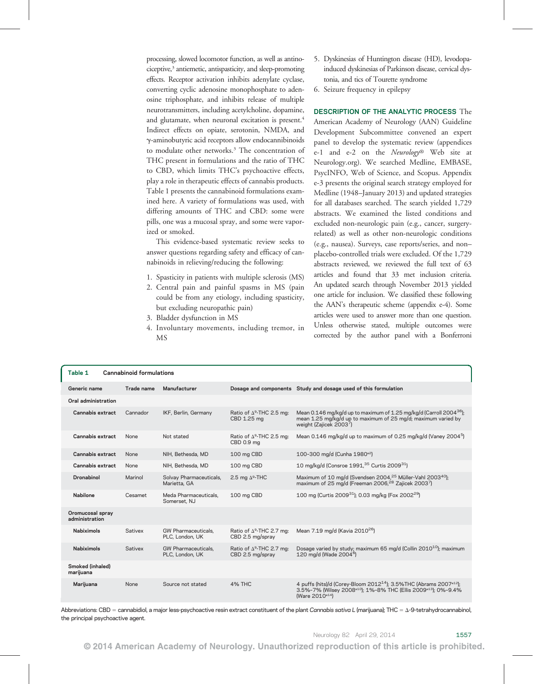processing, slowed locomotor function, as well as antinociceptive,3 antiemetic, antispasticity, and sleep-promoting effects. Receptor activation inhibits adenylate cyclase, converting cyclic adenosine monophosphate to adenosine triphosphate, and inhibits release of multiple neurotransmitters, including acetylcholine, dopamine, and glutamate, when neuronal excitation is present.<sup>4</sup> Indirect effects on opiate, serotonin, NMDA, and g-aminobutyric acid receptors allow endocannibinoids to modulate other networks.3 The concentration of THC present in formulations and the ratio of THC to CBD, which limits THC's psychoactive effects, play a role in therapeutic effects of cannabis products. Table 1 presents the cannabinoid formulations examined here. A variety of formulations was used, with differing amounts of THC and CBD: some were pills, one was a mucosal spray, and some were vaporized or smoked.

This evidence-based systematic review seeks to answer questions regarding safety and efficacy of cannabinoids in relieving/reducing the following:

- 1. Spasticity in patients with multiple sclerosis (MS)
- 2. Central pain and painful spasms in MS (pain could be from any etiology, including spasticity, but excluding neuropathic pain)
- 3. Bladder dysfunction in MS
- 4. Involuntary movements, including tremor, in MS
- 5. Dyskinesias of Huntington disease (HD), levodopainduced dyskinesias of Parkinson disease, cervical dystonia, and tics of Tourette syndrome
- 6. Seizure frequency in epilepsy

DESCRIPTION OF THE ANALYTIC PROCESS The American Academy of Neurology (AAN) Guideline Development Subcommittee convened an expert panel to develop the systematic review (appendices e-1 and e-2 on the Neurology® Web site at [Neurology.org\)](http://neurology.org/). We searched Medline, EMBASE, PsycINFO, Web of Science, and Scopus. Appendix e-3 presents the original search strategy employed for Medline (1948–January 2013) and updated strategies for all databases searched. The search yielded 1,729 abstracts. We examined the listed conditions and excluded non-neurologic pain (e.g., cancer, surgeryrelated) as well as other non-neurologic conditions (e.g., nausea). Surveys, case reports/series, and non– placebo-controlled trials were excluded. Of the 1,729 abstracts reviewed, we reviewed the full text of 63 articles and found that 33 met inclusion criteria. An updated search through November 2013 yielded one article for inclusion. We classified these following the AAN's therapeutic scheme (appendix e-4). Some articles were used to answer more than one question. Unless otherwise stated, multiple outcomes were corrected by the author panel with a Bonferroni

| Table 1<br><b>Cannabinoid formulations</b> |            |                                               |                                                          |                                                                                                                                                                                                                     |  |
|--------------------------------------------|------------|-----------------------------------------------|----------------------------------------------------------|---------------------------------------------------------------------------------------------------------------------------------------------------------------------------------------------------------------------|--|
| Generic name                               | Trade name | Manufacturer                                  |                                                          | Dosage and components Study and dosage used of this formulation                                                                                                                                                     |  |
| Oral administration                        |            |                                               |                                                          |                                                                                                                                                                                                                     |  |
| Cannabis extract                           | Cannador   | IKF, Berlin, Germany                          | Ratio of ∆ <sup>9</sup> -THC 2.5 mg:<br>CBD 1.25 mg      | Mean 0.146 mg/kg/d up to maximum of 1.25 mg/kg/d (Carroll 2004 <sup>36</sup> );<br>mean 1.25 mg/kg/d up to maximum of 25 mg/d; maximum varied by<br>weight (Zajicek 20037)                                          |  |
| Cannabis extract                           | None       | Not stated                                    | Ratio of ∆ <sup>9</sup> -THC 2.5 mg:<br>CBD 0.9 mg       | Mean 0.146 mg/kg/d up to maximum of 0.25 mg/kg/d (Vaney 2004 <sup>5</sup> )                                                                                                                                         |  |
| Cannabis extract                           | None       | NIH. Bethesda. MD                             | 100 mg CBD                                               | 100-300 mg/d (Cunha 1980 <sup>e2</sup> )                                                                                                                                                                            |  |
| Cannabis extract                           | None       | NIH, Bethesda, MD                             | 100 mg CBD                                               | 10 mg/kg/d (Consroe 1991, 35 Curtis 2009 <sup>31</sup> )                                                                                                                                                            |  |
| Dronabinol                                 | Marinol    | Solvay Pharmaceuticals,<br>Marietta, GA       | 2.5 mg $\Delta^9$ -THC                                   | Maximum of 10 mg/d (Svendsen 2004, <sup>25</sup> Müller-Vahl 2003 <sup>40</sup> );<br>maximum of 25 mg/d (Freeman 2006, <sup>28</sup> Zajicek 2003 <sup>7</sup> )                                                   |  |
| Nabilone                                   | Cesamet    | Meda Pharmaceuticals,<br>Somerset, NJ         | 100 mg CBD                                               | 100 mg (Curtis 2009 <sup>31</sup> ); 0.03 mg/kg (Fox 2002 <sup>29</sup> )                                                                                                                                           |  |
| Oromucosal spray<br>administration         |            |                                               |                                                          |                                                                                                                                                                                                                     |  |
| <b>Nabiximols</b>                          | Sativex    | <b>GW Pharmaceuticals.</b><br>PLC, London, UK | Ratio of ∆ <sup>9</sup> -THC 2.7 mg:<br>CBD 2.5 mg/spray | Mean 7.19 mg/d (Kavia 2010 <sup>26</sup> )                                                                                                                                                                          |  |
| <b>Nabiximols</b>                          | Sativex    | GW Pharmaceuticals,<br>PLC, London, UK        | Ratio of ∆ <sup>9</sup> -THC 2.7 mg:<br>CBD 2.5 mg/spray | Dosage varied by study; maximum 65 mg/d (Collin 2010 <sup>10</sup> ); maximum<br>120 mg/d (Wade 2004 <sup>6</sup> )                                                                                                 |  |
| Smoked (inhaled)<br>marijuana              |            |                                               |                                                          |                                                                                                                                                                                                                     |  |
| Marijuana                                  | None       | Source not stated                             | <b>4% THC</b>                                            | 4 puffs (hits)/d (Corey-Bloom 2012 <sup>14</sup> ); 3.5%THC (Abrams 2007 <sup>e12</sup> );<br>3.5%-7% (Wilsey 2008 <sup>e10</sup> ); 1%-8% THC (Ellis 2009 <sup>e13</sup> ); 0%-9.4%<br>(Ware 2010 <sup>e14</sup> ) |  |

Abbreviations: CBD = cannabidiol, a major less-psychoactive resin extract constituent of the plant Cannabis sativa L (marijuana); THC =  $\Delta$ -9-tetrahydrocannabinol, the principal psychoactive agent.

© 2014 American Academy of Neurology. Unauthorized reproduction of this article is prohibited.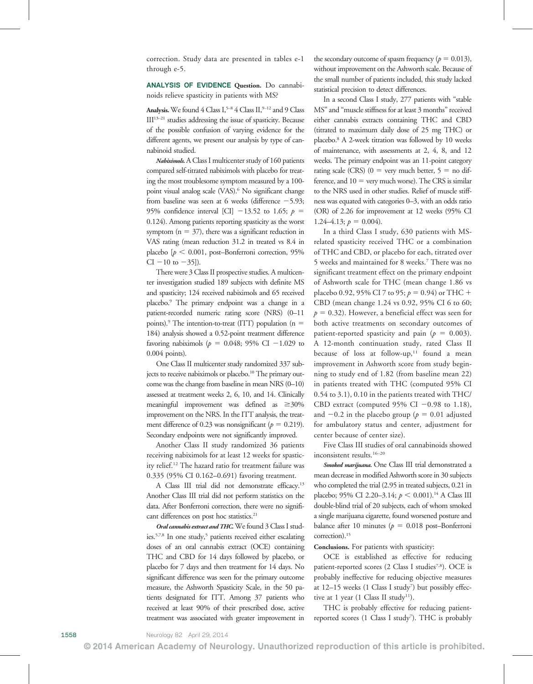correction. Study data are presented in tables e-1 through e-5.

ANALYSIS OF EVIDENCE Question. Do cannabinoids relieve spasticity in patients with MS?

Analysis. We found 4 Class  $I<sub>5</sub><sup>5–8</sup>$  4 Class II,  $<sup>9–12</sup>$  and 9 Class</sup> III13–<sup>21</sup> studies addressing the issue of spasticity. Because of the possible confusion of varying evidence for the different agents, we present our analysis by type of cannabinoid studied.

Nabiximols. A Class I multicenter study of 160 patients compared self-titrated nabiximols with placebo for treating the most troublesome symptom measured by a 100 point visual analog scale (VAS).<sup>6</sup> No significant change from baseline was seen at 6 weeks (difference  $-5.93$ ; 95% confidence interval [CI]  $-13.52$  to 1.65;  $p =$ 0.124). Among patients reporting spasticity as the worst symptom ( $n = 37$ ), there was a significant reduction in VAS rating (mean reduction 31.2 in treated vs 8.4 in placebo [ $p < 0.001$ , post–Bonferroni correction, 95%  $CI - 10$  to  $-35$ ]).

There were 3 Class II prospective studies. A multicenter investigation studied 189 subjects with definite MS and spasticity; 124 received nabiximols and 65 received placebo.9 The primary endpoint was a change in a patient-recorded numeric rating score (NRS) (0–11 points).<sup>9</sup> The intention-to-treat (ITT) population (n = 184) analysis showed a 0.52-point treatment difference favoring nabiximols ( $p = 0.048$ ; 95% CI -1.029 to 0.004 points).

One Class II multicenter study randomized 337 subjects to receive nabiximols or placebo.<sup>10</sup> The primary outcome was the change from baseline in mean NRS (0–10) assessed at treatment weeks 2, 6, 10, and 14. Clinically meaningful improvement was defined as  $\geq 30\%$ improvement on the NRS. In the ITT analysis, the treatment difference of 0.23 was nonsignificant ( $p = 0.219$ ). Secondary endpoints were not significantly improved.

Another Class II study randomized 36 patients receiving nabiximols for at least 12 weeks for spasticity relief.12 The hazard ratio for treatment failure was 0.335 (95% CI 0.162–0.691) favoring treatment.

A Class III trial did not demonstrate efficacy.<sup>13</sup> Another Class III trial did not perform statistics on the data. After Bonferroni correction, there were no significant differences on post hoc statistics.<sup>21</sup>

Oral cannabis extract and THC. We found 3 Class I studies.<sup>5,7,8</sup> In one study,<sup>5</sup> patients received either escalating doses of an oral cannabis extract (OCE) containing THC and CBD for 14 days followed by placebo, or placebo for 7 days and then treatment for 14 days. No significant difference was seen for the primary outcome measure, the Ashworth Spasticity Scale, in the 50 patients designated for ITT. Among 37 patients who received at least 90% of their prescribed dose, active treatment was associated with greater improvement in the secondary outcome of spasm frequency ( $p = 0.013$ ), without improvement on the Ashworth scale. Because of the small number of patients included, this study lacked statistical precision to detect differences.

In a second Class I study, 277 patients with "stable MS" and "muscle stiffness for at least 3 months" received either cannabis extracts containing THC and CBD (titrated to maximum daily dose of 25 mg THC) or placebo.8 A 2-week titration was followed by 10 weeks of maintenance, with assessments at 2, 4, 8, and 12 weeks. The primary endpoint was an 11-point category rating scale (CRS) ( $0 =$  very much better,  $5 =$  no difference, and  $10 =$  very much worse). The CRS is similar to the NRS used in other studies. Relief of muscle stiffness was equated with categories 0–3, with an odds ratio (OR) of 2.26 for improvement at 12 weeks (95% CI 1.24–4.13;  $p = 0.004$ ).

In a third Class I study, 630 patients with MSrelated spasticity received THC or a combination of THC and CBD, or placebo for each, titrated over 5 weeks and maintained for 8 weeks.7 There was no significant treatment effect on the primary endpoint of Ashworth scale for THC (mean change 1.86 vs placebo 0.92, 95% CI 7 to 95;  $p = 0.94$ ) or THC + CBD (mean change 1.24 vs 0.92, 95% CI 6 to 60;  $p = 0.32$ ). However, a beneficial effect was seen for both active treatments on secondary outcomes of patient-reported spasticity and pain ( $p = 0.003$ ). A 12-month continuation study, rated Class II because of loss at follow-up,<sup>11</sup> found a mean improvement in Ashworth score from study beginning to study end of 1.82 (from baseline mean 22) in patients treated with THC (computed 95% CI 0.54 to 3.1), 0.10 in the patients treated with THC/ CBD extract (computed 95% CI  $-0.98$  to 1.18), and  $-0.2$  in the placebo group ( $p = 0.01$  adjusted for ambulatory status and center, adjustment for center because of center size).

Five Class III studies of oral cannabinoids showed inconsistent results.16–<sup>20</sup>

Smoked marijuana. One Class III trial demonstrated a mean decrease in modified Ashworth score in 30 subjects who completed the trial (2.95 in treated subjects, 0.21 in placebo; 95% CI 2.20–3.14;  $p < 0.001$ .<sup>14</sup> A Class III double-blind trial of 20 subjects, each of whom smoked a single marijuana cigarette, found worsened posture and balance after 10 minutes ( $p = 0.018$  post–Bonferroni correction).15

# Conclusions. For patients with spasticity:

OCE is established as effective for reducing patient-reported scores  $(2 \text{ Class I studies}^{7,8})$ . OCE is probably ineffective for reducing objective measures at 12-15 weeks (1 Class I study<sup>7</sup>) but possibly effective at 1 year (1 Class II study<sup>11</sup>).

THC is probably effective for reducing patientreported scores (1 Class I study<sup>7</sup>). THC is probably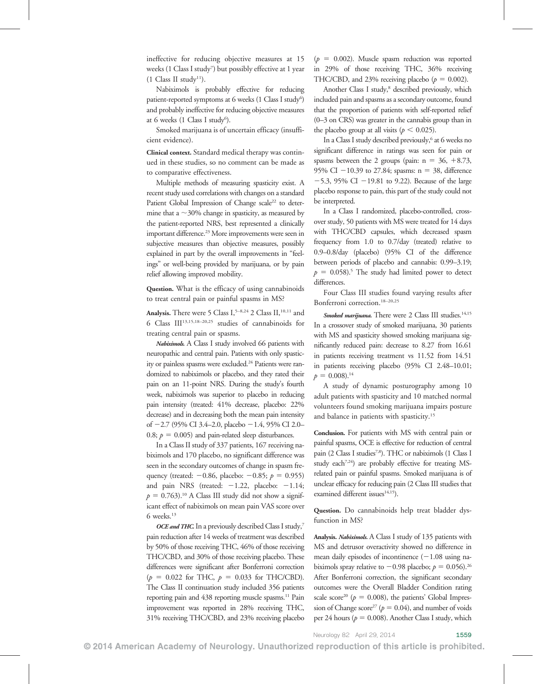ineffective for reducing objective measures at 15 weeks (1 Class I study7 ) but possibly effective at 1 year  $(1 \text{ Class II study}^{11}).$ 

Nabiximols is probably effective for reducing patient-reported symptoms at 6 weeks (1 Class I study<sup>6</sup>) and probably ineffective for reducing objective measures at 6 weeks (1 Class I study<sup>6</sup>).

Smoked marijuana is of uncertain efficacy (insufficient evidence).

Clinical context. Standard medical therapy was continued in these studies, so no comment can be made as to comparative effectiveness.

Multiple methods of measuring spasticity exist. A recent study used correlations with changes on a standard Patient Global Impression of Change scale<sup>22</sup> to determine that a  $\sim$ 30% change in spasticity, as measured by the patient-reported NRS, best represented a clinically important difference.<sup>23</sup> More improvements were seen in subjective measures than objective measures, possibly explained in part by the overall improvements in "feelings" or well-being provided by marijuana, or by pain relief allowing improved mobility.

Question. What is the efficacy of using cannabinoids to treat central pain or painful spasms in MS?

Analysis. There were 5 Class I,<sup>5-8,24</sup> 2 Class II,<sup>10,11</sup> and 6 Class III13,15,18–20,25 studies of cannabinoids for treating central pain or spasms.

Nabiximols. A Class I study involved 66 patients with neuropathic and central pain. Patients with only spasticity or painless spasms were excluded.<sup>24</sup> Patients were randomized to nabiximols or placebo, and they rated their pain on an 11-point NRS. During the study's fourth week, nabiximols was superior to placebo in reducing pain intensity (treated: 41% decrease, placebo: 22% decrease) and in decreasing both the mean pain intensity of  $-2.7$  (95% CI 3.4–2.0, placebo  $-1.4$ , 95% CI 2.0– 0.8;  $p = 0.005$ ) and pain-related sleep disturbances.

In a Class II study of 337 patients, 167 receiving nabiximols and 170 placebo, no significant difference was seen in the secondary outcomes of change in spasm frequency (treated:  $-0.86$ , placebo:  $-0.85$ ;  $p = 0.955$ ) and pain NRS (treated:  $-1.22$ , placebo:  $-1.14$ ;  $p = 0.763$ .<sup>10</sup> A Class III study did not show a significant effect of nabiximols on mean pain VAS score over 6 weeks.13

OCE and THC. In a previously described Class I study,<sup>7</sup> pain reduction after 14 weeks of treatment was described by 50% of those receiving THC, 46% of those receiving THC/CBD, and 30% of those receiving placebo. These differences were significant after Bonferroni correction  $(p = 0.022$  for THC,  $p = 0.033$  for THC/CBD). The Class II continuation study included 356 patients reporting pain and 438 reporting muscle spasms.<sup>11</sup> Pain improvement was reported in 28% receiving THC, 31% receiving THC/CBD, and 23% receiving placebo

 $(p = 0.002)$ . Muscle spasm reduction was reported in 29% of those receiving THC, 36% receiving THC/CBD, and 23% receiving placebo ( $p = 0.002$ ).

Another Class I study,<sup>8</sup> described previously, which included pain and spasms as a secondary outcome, found that the proportion of patients with self-reported relief (0–3 on CRS) was greater in the cannabis group than in the placebo group at all visits ( $p < 0.025$ ).

In a Class I study described previously,<sup>6</sup> at 6 weeks no significant difference in ratings was seen for pain or spasms between the 2 groups (pain:  $n = 36, +8.73$ , 95% CI  $-10.39$  to 27.84; spasms: n = 38, difference  $-5.3$ , 95% CI  $-19.81$  to 9.22). Because of the large placebo response to pain, this part of the study could not be interpreted.

In a Class I randomized, placebo-controlled, crossover study, 50 patients with MS were treated for 14 days with THC/CBD capsules, which decreased spasm frequency from 1.0 to 0.7/day (treated) relative to 0.9–0.8/day (placebo) (95% CI of the difference between periods of placebo and cannabis: 0.99–3.19;  $p = 0.058$ .<sup>5</sup> The study had limited power to detect differences.

Four Class III studies found varying results after Bonferroni correction.18–20,25

Smoked marijuana. There were 2 Class III studies. $14,15$ In a crossover study of smoked marijuana, 30 patients with MS and spasticity showed smoking marijuana significantly reduced pain: decrease to 8.27 from 16.61 in patients receiving treatment vs 11.52 from 14.51 in patients receiving placebo (95% CI 2.48–10.01;  $p = 0.008$ .<sup>14</sup>

A study of dynamic posturography among 10 adult patients with spasticity and 10 matched normal volunteers found smoking marijuana impairs posture and balance in patients with spasticity.<sup>15</sup>

Conclusion. For patients with MS with central pain or painful spasms, OCE is effective for reduction of central pain (2 Class I studies<sup>7,8</sup>). THC or nabiximols (1 Class I study each<sup>7,24</sup>) are probably effective for treating MSrelated pain or painful spasms. Smoked marijuana is of unclear efficacy for reducing pain (2 Class III studies that examined different issues<sup>14,15</sup>).

Question. Do cannabinoids help treat bladder dysfunction in MS?

Analysis. Nabiximols. A Class I study of 135 patients with MS and detrusor overactivity showed no difference in mean daily episodes of incontinence  $(-1.08 \text{ using na-}$ biximols spray relative to  $-0.98$  placebo;  $p = 0.056$ .<sup>26</sup> After Bonferroni correction, the significant secondary outcomes were the Overall Bladder Condition rating scale score<sup>20</sup> ( $p = 0.008$ ), the patients' Global Impression of Change score<sup>27</sup> ( $p = 0.04$ ), and number of voids per 24 hours ( $p = 0.008$ ). Another Class I study, which

Neurology 82 April 29, 2014 1559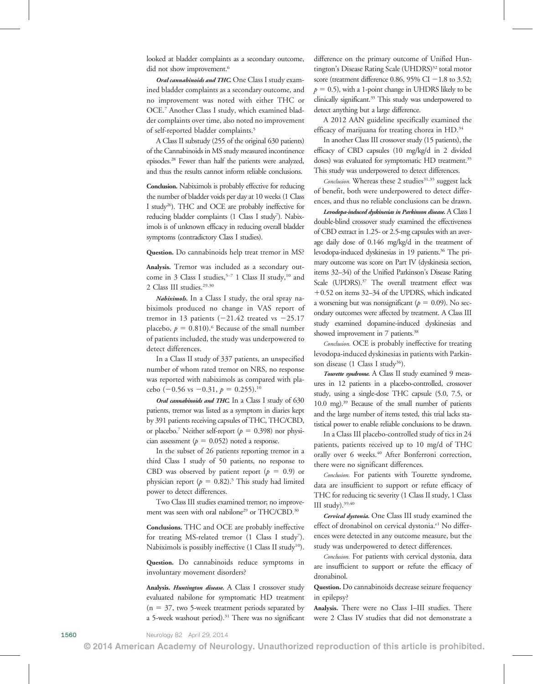looked at bladder complaints as a secondary outcome, did not show improvement.<sup>6</sup>

Oral cannabinoids and THC. One Class I study examined bladder complaints as a secondary outcome, and no improvement was noted with either THC or OCE.7 Another Class I study, which examined bladder complaints over time, also noted no improvement of self-reported bladder complaints.5

A Class II substudy (255 of the original 630 patients) of the Cannabinoids in MS study measured incontinence episodes.28 Fewer than half the patients were analyzed, and thus the results cannot inform reliable conclusions.

Conclusion. Nabiximols is probably effective for reducing the number of bladder voids per day at 10 weeks (1 Class I study<sup>26</sup>). THC and OCE are probably ineffective for reducing bladder complaints (1 Class I study<sup>7</sup>). Nabiximols is of unknown efficacy in reducing overall bladder symptoms (contradictory Class I studies).

Question. Do cannabinoids help treat tremor in MS?

Analysis. Tremor was included as a secondary outcome in 3 Class I studies,  $5-7$  1 Class II study,  $10$  and 2 Class III studies.<sup>29,30</sup>

Nabiximols. In a Class I study, the oral spray nabiximols produced no change in VAS report of tremor in 13 patients  $(-21.42 \text{ treated vs } -25.17)$ placebo,  $p = 0.810$ .<sup>6</sup> Because of the small number of patients included, the study was underpowered to detect differences.

In a Class II study of 337 patients, an unspecified number of whom rated tremor on NRS, no response was reported with nabiximols as compared with placebo (-0.56 vs -0.31,  $p = 0.255$ ).<sup>10</sup>

Oral cannabinoids and THC. In a Class I study of 630 patients, tremor was listed as a symptom in diaries kept by 391 patients receiving capsules of THC, THC/CBD, or placebo.<sup>7</sup> Neither self-report ( $p = 0.398$ ) nor physician assessment ( $p = 0.052$ ) noted a response.

In the subset of 26 patients reporting tremor in a third Class I study of 50 patients, no response to CBD was observed by patient report ( $p = 0.9$ ) or physician report ( $p = 0.82$ ).<sup>5</sup> This study had limited power to detect differences.

Two Class III studies examined tremor; no improvement was seen with oral nabilone<sup>29</sup> or THC/CBD.<sup>30</sup>

Conclusions. THC and OCE are probably ineffective for treating MS-related tremor (1 Class I study<sup>7</sup>). Nabiximols is possibly ineffective  $(1 \text{ Class II study}^{10})$ .

Question. Do cannabinoids reduce symptoms in involuntary movement disorders?

Analysis. Huntington disease. A Class I crossover study evaluated nabilone for symptomatic HD treatment  $(n = 37,$  two 5-week treatment periods separated by a 5-week washout period).<sup>31</sup> There was no significant difference on the primary outcome of Unified Huntington's Disease Rating Scale (UHDRS)<sup>32</sup> total motor score (treatment difference 0.86, 95% CI  $-1.8$  to 3.52;  $p = 0.5$ ), with a 1-point change in UHDRS likely to be clinically significant.<sup>33</sup> This study was underpowered to detect anything but a large difference.

A 2012 AAN guideline specifically examined the efficacy of marijuana for treating chorea in HD.<sup>34</sup>

In another Class III crossover study (15 patients), the efficacy of CBD capsules (10 mg/kg/d in 2 divided doses) was evaluated for symptomatic HD treatment.<sup>35</sup> This study was underpowered to detect differences.

Conclusion. Whereas these 2 studies<sup>31,35</sup> suggest lack of benefit, both were underpowered to detect differences, and thus no reliable conclusions can be drawn.

Levodopa-induced dyskinesias in Parkinson disease. A Class I double-blind crossover study examined the effectiveness of CBD extract in 1.25- or 2.5-mg capsules with an average daily dose of 0.146 mg/kg/d in the treatment of levodopa-induced dyskinesias in 19 patients.<sup>36</sup> The primary outcome was score on Part IV (dyskinesia section, items 32–34) of the Unified Parkinson's Disease Rating Scale (UPDRS).<sup>37</sup> The overall treatment effect was  $+0.52$  on items 32–34 of the UPDRS, which indicated a worsening but was nonsignificant ( $p = 0.09$ ). No secondary outcomes were affected by treatment. A Class III study examined dopamine-induced dyskinesias and showed improvement in 7 patients.<sup>38</sup>

Conclusion. OCE is probably ineffective for treating levodopa-induced dyskinesias in patients with Parkinson disease  $(1 \text{ Class } I \text{ study}^{36}).$ 

Tourette syndrome. A Class II study examined 9 measures in 12 patients in a placebo-controlled, crossover study, using a single-dose THC capsule (5.0, 7.5, or 10.0 mg).<sup>39</sup> Because of the small number of patients and the large number of items tested, this trial lacks statistical power to enable reliable conclusions to be drawn.

In a Class III placebo-controlled study of tics in 24 patients, patients received up to 10 mg/d of THC orally over 6 weeks.<sup>40</sup> After Bonferroni correction, there were no significant differences.

Conclusion. For patients with Tourette syndrome, data are insufficient to support or refute efficacy of THC for reducing tic severity (1 Class II study, 1 Class III study).39,40

Cervical dystonia. One Class III study examined the effect of dronabinol on cervical dystonia.<sup>e1</sup> No differences were detected in any outcome measure, but the study was underpowered to detect differences.

Conclusion. For patients with cervical dystonia, data are insufficient to support or refute the efficacy of dronabinol.

Question. Do cannabinoids decrease seizure frequency in epilepsy?

Analysis. There were no Class I–III studies. There were 2 Class IV studies that did not demonstrate a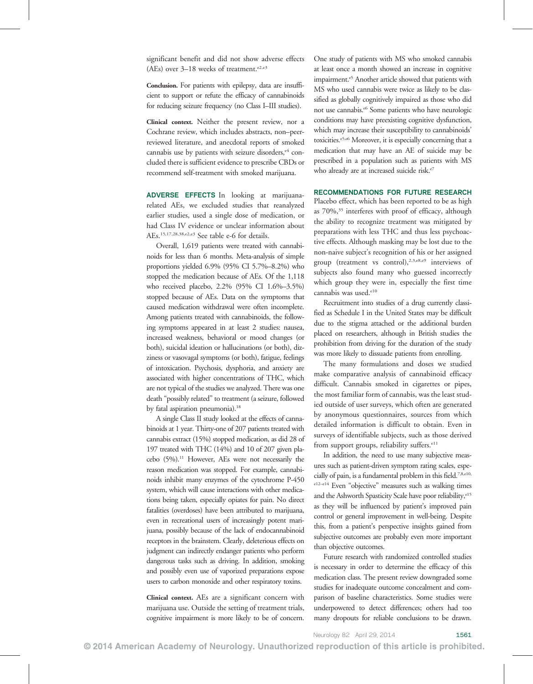significant benefit and did not show adverse effects (AEs) over  $3-18$  weeks of treatment.<sup>e2,e3</sup>

Conclusion. For patients with epilepsy, data are insufficient to support or refute the efficacy of cannabinoids for reducing seizure frequency (no Class I–III studies).

Clinical context. Neither the present review, nor a Cochrane review, which includes abstracts, non–peerreviewed literature, and anecdotal reports of smoked cannabis use by patients with seizure disorders,<sup>e4</sup> concluded there is sufficient evidence to prescribe CBDs or recommend self-treatment with smoked marijuana.

ADVERSE EFFECTS In looking at marijuanarelated AEs, we excluded studies that reanalyzed earlier studies, used a single dose of medication, or had Class IV evidence or unclear information about AEs.15,17,28,38,e2,e3 See table e-6 for details.

Overall, 1,619 patients were treated with cannabinoids for less than 6 months. Meta-analysis of simple proportions yielded 6.9% (95% CI 5.7%–8.2%) who stopped the medication because of AEs. Of the 1,118 who received placebo, 2.2% (95% CI 1.6%–3.5%) stopped because of AEs. Data on the symptoms that caused medication withdrawal were often incomplete. Among patients treated with cannabinoids, the following symptoms appeared in at least 2 studies: nausea, increased weakness, behavioral or mood changes (or both), suicidal ideation or hallucinations (or both), dizziness or vasovagal symptoms (or both), fatigue, feelings of intoxication. Psychosis, dysphoria, and anxiety are associated with higher concentrations of THC, which are not typical of the studies we analyzed. There was one death "possibly related" to treatment (a seizure, followed by fatal aspiration pneumonia).<sup>18</sup>

A single Class II study looked at the effects of cannabinoids at 1 year. Thirty-one of 207 patients treated with cannabis extract (15%) stopped medication, as did 28 of 197 treated with THC (14%) and 10 of 207 given placebo (5%).11 However, AEs were not necessarily the reason medication was stopped. For example, cannabinoids inhibit many enzymes of the cytochrome P-450 system, which will cause interactions with other medications being taken, especially opiates for pain. No direct fatalities (overdoses) have been attributed to marijuana, even in recreational users of increasingly potent marijuana, possibly because of the lack of endocannabinoid receptors in the brainstem. Clearly, deleterious effects on judgment can indirectly endanger patients who perform dangerous tasks such as driving. In addition, smoking and possibly even use of vaporized preparations expose users to carbon monoxide and other respiratory toxins.

Clinical context. AEs are a significant concern with marijuana use. Outside the setting of treatment trials, cognitive impairment is more likely to be of concern. One study of patients with MS who smoked cannabis at least once a month showed an increase in cognitive impairment.<sup>e5</sup> Another article showed that patients with MS who used cannabis were twice as likely to be classified as globally cognitively impaired as those who did not use cannabis.<sup>e6</sup> Some patients who have neurologic conditions may have preexisting cognitive dysfunction, which may increase their susceptibility to cannabinoids' toxicities.<sup>e5,e6</sup> Moreover, it is especially concerning that a medication that may have an AE of suicide may be prescribed in a population such as patients with MS who already are at increased suicide risk.<sup>e7</sup>

# RECOMMENDATIONS FOR FUTURE RESEARCH

Placebo effect, which has been reported to be as high as 70%,<sup>35</sup> interferes with proof of efficacy, although the ability to recognize treatment was mitigated by preparations with less THC and thus less psychoactive effects. Although masking may be lost due to the non-naive subject's recognition of his or her assigned group (treatment vs control),  $2,3,$ e $8,$ e $9$  interviews of subjects also found many who guessed incorrectly which group they were in, especially the first time cannabis was used.<sup>e10</sup>

Recruitment into studies of a drug currently classified as Schedule I in the United States may be difficult due to the stigma attached or the additional burden placed on researchers, although in British studies the prohibition from driving for the duration of the study was more likely to dissuade patients from enrolling.

The many formulations and doses we studied make comparative analysis of cannabinoid efficacy difficult. Cannabis smoked in cigarettes or pipes, the most familiar form of cannabis, was the least studied outside of user surveys, which often are generated by anonymous questionnaires, sources from which detailed information is difficult to obtain. Even in surveys of identifiable subjects, such as those derived from support groups, reliability suffers.<sup>e11</sup>

In addition, the need to use many subjective measures such as patient-driven symptom rating scales, especially of pain, is a fundamental problem in this field.<sup>7,8,e10,</sup>

e12–e14 Even "objective" measures such as walking times and the Ashworth Spasticity Scale have poor reliability,<sup>e15</sup> as they will be influenced by patient's improved pain control or general improvement in well-being. Despite this, from a patient's perspective insights gained from subjective outcomes are probably even more important than objective outcomes.

Future research with randomized controlled studies is necessary in order to determine the efficacy of this medication class. The present review downgraded some studies for inadequate outcome concealment and comparison of baseline characteristics. Some studies were underpowered to detect differences; others had too many dropouts for reliable conclusions to be drawn.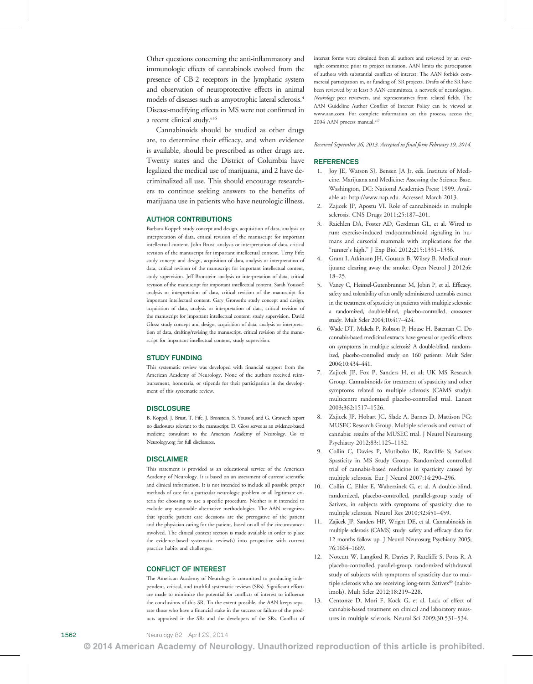Other questions concerning the anti-inflammatory and immunologic effects of cannabinols evolved from the presence of CB-2 receptors in the lymphatic system and observation of neuroprotective effects in animal models of diseases such as amyotrophic lateral sclerosis.4 Disease-modifying effects in MS were not confirmed in a recent clinical study.<sup>e16</sup>

Cannabinoids should be studied as other drugs are, to determine their efficacy, and when evidence is available, should be prescribed as other drugs are. Twenty states and the District of Columbia have legalized the medical use of marijuana, and 2 have decriminalized all use. This should encourage researchers to continue seeking answers to the benefits of marijuana use in patients who have neurologic illness.

### AUTHOR CONTRIBUTIONS

Barbara Koppel: study concept and design, acquisition of data, analysis or interpretation of data, critical revision of the manuscript for important intellectual content. John Brust: analysis or interpretation of data, critical revision of the manuscript for important intellectual content. Terry Fife: study concept and design, acquisition of data, analysis or interpretation of data, critical revision of the manuscript for important intellectual content, study supervision. Jeff Bronstein: analysis or interpretation of data, critical revision of the manuscript for important intellectual content. Sarah Youssof: analysis or interpretation of data, critical revision of the manuscript for important intellectual content. Gary Gronseth: study concept and design, acquisition of data, analysis or interpretation of data, critical revision of the manuscript for important intellectual content, study supervision. David Gloss: study concept and design, acquisition of data, analysis or interpretation of data, drafting/revising the manuscript, critical revision of the manuscript for important intellectual content, study supervision.

#### STUDY FUNDING

This systematic review was developed with financial support from the American Academy of Neurology. None of the authors received reimbursement, honoraria, or stipends for their participation in the development of this systematic review.

#### **DISCLOSURE**

B. Koppel, J. Brust, T. Fife, J. Bronstein, S. Youssof, and G. Gronseth report no disclosures relevant to the manuscript. D. Gloss serves as an evidence-based medicine consultant to the American Academy of Neurology. Go to [Neurology.org](http://neurology.org/) for full disclosures.

#### **DISCLAIMER**

This statement is provided as an educational service of the American Academy of Neurology. It is based on an assessment of current scientific and clinical information. It is not intended to include all possible proper methods of care for a particular neurologic problem or all legitimate criteria for choosing to use a specific procedure. Neither is it intended to exclude any reasonable alternative methodologies. The AAN recognizes that specific patient care decisions are the prerogative of the patient and the physician caring for the patient, based on all of the circumstances involved. The clinical context section is made available in order to place the evidence-based systematic review(s) into perspective with current practice habits and challenges.

#### CONFLICT OF INTEREST

The American Academy of Neurology is committed to producing independent, critical, and truthful systematic reviews (SRs). Significant efforts are made to minimize the potential for conflicts of interest to influence the conclusions of this SR. To the extent possible, the AAN keeps separate those who have a financial stake in the success or failure of the products appraised in the SRs and the developers of the SRs. Conflict of interest forms were obtained from all authors and reviewed by an oversight committee prior to project initiation. AAN limits the participation of authors with substantial conflicts of interest. The AAN forbids commercial participation in, or funding of, SR projects. Drafts of the SR have been reviewed by at least 3 AAN committees, a network of neurologists, Neurology peer reviewers, and representatives from related fields. The AAN Guideline Author Conflict of Interest Policy can be viewed at [www.aan.com](http://www.ncbi.nlm.nih.gov/pubmed/15184614). For complete information on this process, access the 2004 AAN process manual.<sup>e17</sup>

Received September 26, 2013. Accepted in final form February 19, 2014.

#### REFERENCES

- 1. Joy JE, Watson SJ, Bensen JA Jr, eds. Institute of Medicine. Marijuana and Medicine: Assessing the Science Base. Washington, DC: National Academies Press; 1999. Available at: [http://www.nap.edu](http://www.nap.edu/). Accessed March 2013.
- 2. Zajicek JP, Apostu VI. Role of cannabinoids in multiple sclerosis. CNS Drugs 2011;25:187–201.
- 3. Raichlen DA, Foster AD, Gerdman GL, et al. Wired to run: exercise-induced endocannabinoid signaling in humans and cursorial mammals with implications for the "runner's high." J Exp Biol 2012;215:1331–1336.
- 4. Grant I, Atkinson JH, Gouaux B, Wilsey B. Medical marijuana: clearing away the smoke. Open Neurol J 2012;6: 18–25.
- 5. Vaney C, Heinzel-Gutenbrunner M, Jobin P, et al. Efficacy, safety and tolerability of an orally administered cannabis extract in the treatment of spasticity in patients with multiple sclerosis: a randomized, double-blind, placebo-controlled, crossover study. Mult Scler 2004;10:417–424.
- 6. Wade DT, Makela P, Robson P, House H, Bateman C. Do cannabis-based medicinal extracts have general or specific effects on symptoms in multiple sclerosis? A double-blind, randomized, placebo-controlled study on 160 patients. Mult Scler 2004;10:434–441.
- 7. Zajicek JP, Fox P, Sanders H, et al; UK MS Research Group. Cannabinoids for treatment of spasticity and other symptoms related to multiple sclerosis (CAMS study): multicentre randomised placebo-controlled trial. Lancet 2003;362:1517–1526.
- 8. Zajicek JP, Hobart JC, Slade A, Barnes D, Mattison PG; MUSEC Research Group. Multiple sclerosis and extract of cannabis: results of the MUSEC trial. J Neurol Neurosurg Psychiatry 2012;83:1125–1132.
- 9. Collin C, Davies P, Mutiboko IK, Ratcliffe S; Sativex Spasticity in MS Study Group. Randomized controlled trial of cannabis-based medicine in spasticity caused by multiple sclerosis. Eur J Neurol 2007;14:290–296.
- 10. Collin C, Ehler E, Waberzinek G, et al. A double-blind, randomized, placebo-controlled, parallel-group study of Sativex, in subjects with symptoms of spasticity due to multiple sclerosis. Neurol Res 2010;32:451–459.
- 11. Zajicek JP, Sanders HP, Wright DE, et al. Cannabinoids in multiple sclerosis (CAMS) study: safety and efficacy data for 12 months follow up. J Neurol Neurosurg Psychiatry 2005; 76:1664–1669.
- 12. Notcutt W, Langford R, Davies P, Ratcliffe S, Potts R. A placebo-controlled, parallel-group, randomized withdrawal study of subjects with symptoms of spasticity due to multiple sclerosis who are receiving long-term Sativex® (nabiximols). Mult Scler 2012;18:219–228.
- 13. Centonze D, Mori F, Kock G, et al. Lack of effect of cannabis-based treatment on clinical and laboratory measures in multiple sclerosis. Neurol Sci 2009;30:531–534.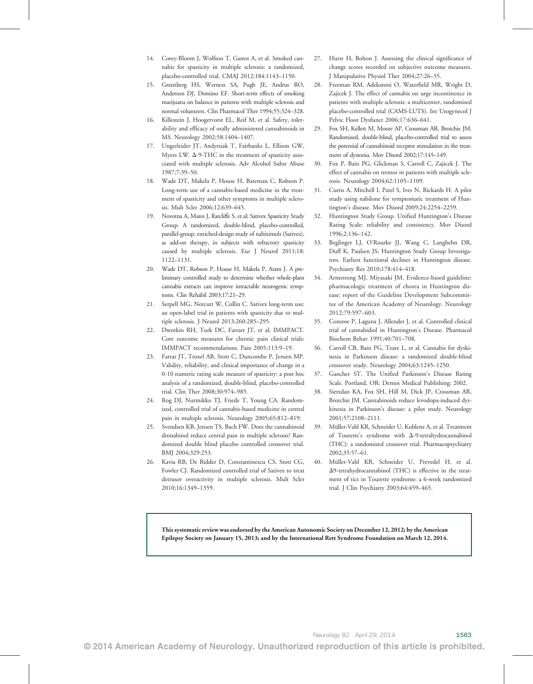- 14. Corey-Bloom J, Wolfson T, Gamst A, et al. Smoked cannabis for spasticity in multiple sclerosis: a randomized, placebo-controlled trial. CMAJ 2012;184:1143–1150.
- 15. Greenberg HS, Werness SA, Pugh JE, Andrus RO, Anderson DJ, Domino EF. Short-term effects of smoking marijuana on balance in patients with multiple sclerosis and normal volunteers. Clin Pharmacol Ther 1994;55:324–328.
- 16. Killestein J, Hoogervorst EL, Reif M, et al. Safety, tolerability and efficacy of orally administered cannabinoids in MS. Neurology 2002;58:1404–1407.
- 17. Ungerleider JT, Andyrsiak T, Fairbanks L, Ellison GW, Myers LW.  $\Delta$ -9-THC in the treatment of spasticity associated with multiple sclerosis. Adv Alcohol Subst Abuse 1987;7:39–50.
- 18. Wade DT, Makela P, House H, Bateman C, Robson P. Long-term use of a cannabis-based medicine in the treatment of spasticity and other symptoms in multiple sclerosis. Mult Scler 2006;12:639–645.
- 19. Novotna A, Mares J, Ratcliffe S, et al; Sativex Spasticity Study Group. A randomized, double-blind, placebo-controlled, parallel-group, enriched-design study of nabiximols (Sativex), as add-on therapy, in subjects with refractory spasticity caused by multiple sclerosis. Eur J Neurol 2011;18: 1122–1131.
- 20. Wade DT, Robson P, House H, Makela P, Aram J. A preliminary controlled study to determine whether whole-plant cannabis extracts can improve intractable neurogenic symptoms. Clin Rehabil 2003;17:21–29.
- 21. Serpell MG, Notcutt W, Collin C. Sativex long-term use: an open-label trial in patients with spasticity due to multiple sclerosis. J Neurol 2013;260:285–295.
- 22. Dworkin RH, Turk DC, Farrarr JT, et al; IMMPACT. Core outcome measures for chronic pain clinical trials: IMMPACT recommendations. Pain 2005;113:9–19.
- 23. Farrar JT, Troxel AB, Stott C, Duncombe P, Jensen MP. Validity, reliability, and clinical importance of change in a 0-10 numeric rating scale measure of spasticity: a post hoc analysis of a randomized, double-blind, placebo-controlled trial. Clin Ther 2008;30:974–985.
- 24. Rog DJ, Nurmikko TJ, Friede T, Young CA. Randomized, controlled trial of cannabis-based medicine in central pain in multiple sclerosis. Neurology 2005;65:812–819.
- 25. Svendsen KB, Jensen TS, Bach FW. Does the cannabinoid dronabinol reduce central pain in multiple sclerosis? Randomized double blind placebo controlled crossover trial. BMJ 2004;329:253.
- 26. Kavia RB, De Ridder D, Constantinescu CS, Stott CG, Fowler CJ. Randomized controlled trial of Sativex to treat detrusor overactivity in multiple sclerosis. Mult Scler 2010;16:1349–1359.
- 27. Hurst H, Bolton J. Assessing the clinical significance of change scores recorded on subjective outcome measures. J Manipulative Physiol Ther 2004;27:26–35.
- 28. Freeman RM, Adekanmi O, Waterfield MR, Wright D, Zajicek J. The effect of cannabis on urge incontinence in patients with multiple sclerosis: a multicenter, randomised placebo-controlled trial (CAMS-LUTS). Int Urogynecol J Pelvic Floor Dysfunct 2006;17:636–641.
- 29. Fox SH, Kellett M, Moore AP, Crossman AR, Brotchie JM. Randomised, double-blind, placebo-controlled trial to assess the potential of cannabinoid receptor stimulation in the treatment of dystonia. Mov Disord 2002;17:145–149.
- 30. Fox P, Bain PG, Glickman S, Carroll C, Zajicek J. The effect of cannabis on tremor in patients with multiple sclerosis. Neurology 2004;62:1105–1109.
- 31. Curtis A, Mitchell I, Patel S, Ives N, Rickards H. A pilot study using nabilone for symptomatic treatment of Huntington's disease. Mov Disord 2009;24:2254–2259.
- 32. Huntington Study Group. Unified Huntington's Disease Rating Scale: reliability and consistency. Mov Disord 1996;2:136–142.
- 33. Beglinger LJ, O'Rourke JJ, Wang C, Langbehn DR, Duff K, Paulsen JS; Huntington Study Group Investigators. Earliest functional declines in Huntington disease. Psychiatry Res 2010;178:414–418.
- 34. Armstrong MJ, Miyasaki JM. Evidence-based guideline: pharmacologic treatment of chorea in Huntington disease: report of the Guideline Development Subcommittee of the American Academy of Neurology. Neurology 2012;79:597–603.
- 35. Consroe P, Laguna J, Allender J, et al. Controlled clinical trial of cannabidiol in Huntington's Disease. Pharmacol Biochem Behav 1991;40:701–708.
- 36. Carroll CB, Bain PG, Teare L, et al. Cannabis for dyskinesia in Parkinson disease: a randomized double-blind crossover study. Neurology 2004;63:1245–1250.
- 37. Gancher ST. The Unified Parkinson's Disease Rating Scale. Portland, OR: Demos Medical Publishing; 2002.
- 38. Sierzdan KA, Fox SH, Hill M, Dick JP, Crossman AR, Brotchie JM. Cannabinoids reduce levodopa-induced dyskinesia in Parkinson's disease: a pilot study. Neurology 2001;57:2108–2111.
- 39. Müller-Vahl KR, Schneider U, Koblenz A, et al. Treatment of Tourette's syndrome with  $\Delta$ -9-tetrahydrocannabinol (THC): a randomized crossover trial. Pharmacopsychiatry 2002;35:57–61.
- 40. Müller-Vahl KR, Schneider U, Prevedel H, et al.  $\Delta$ 9-tetrahydrocannabinol (THC) is effective in the treatment of tics in Tourette syndrome: a 6-week randomized trial. J Clin Psychiatry 2003;64:459–465.

This systematic review was endorsed by the American Autonomic Society on December 12, 2012; by the American Epilepsy Society on January 15, 2013; and by the International Rett Syndrome Foundation on March 12, 2014.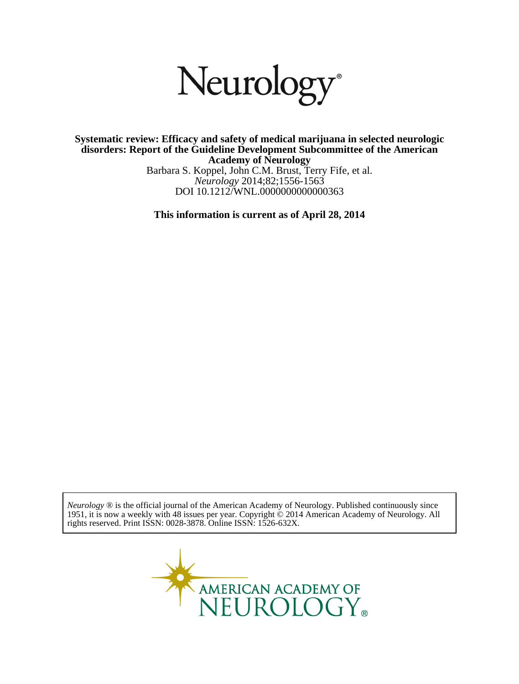

DOI 10.1212/WNL.0000000000000363 *Neurology* 2014;82;1556-1563 Barbara S. Koppel, John C.M. Brust, Terry Fife, et al. **Academy of Neurology disorders: Report of the Guideline Development Subcommittee of the American Systematic review: Efficacy and safety of medical marijuana in selected neurologic**

**This information is current as of April 28, 2014**

rights reserved. Print ISSN: 0028-3878. Online ISSN: 1526-632X. 1951, it is now a weekly with 48 issues per year. Copyright © 2014 American Academy of Neurology. All *Neurology* ® is the official journal of the American Academy of Neurology. Published continuously since